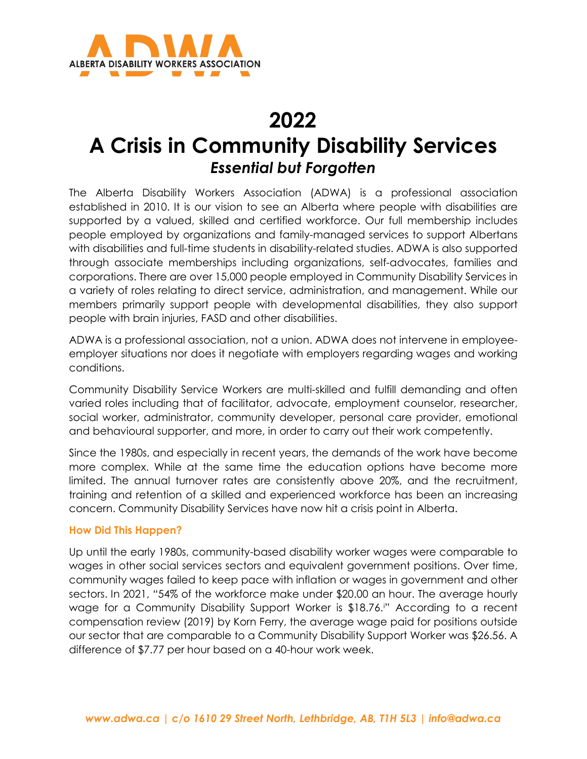

# **2022**

# **A Crisis in Community Disability Services** *Essential but Forgotten*

The Alberta Disability Workers Association (ADWA) is a professional association established in 2010. It is our vision to see an Alberta where people with disabilities are supported by a valued, skilled and certified workforce. Our full membership includes people employed by organizations and family-managed services to support Albertans with disabilities and full-time students in disability-related studies. ADWA is also supported through associate memberships including organizations, self-advocates, families and corporations. There are over 15,000 people employed in Community Disability Services in a variety of roles relating to direct service, administration, and management. While our members primarily support people with developmental disabilities, they also support people with brain injuries, FASD and other disabilities.

ADWA is a professional association, not a union. ADWA does not intervene in employeeemployer situations nor does it negotiate with employers regarding wages and working conditions.

Community Disability Service Workers are multi-skilled and fulfill demanding and often varied roles including that of facilitator, advocate, employment counselor, researcher, social worker, administrator, community developer, personal care provider, emotional and behavioural supporter, and more, in order to carry out their work competently.

Since the 1980s, and especially in recent years, the demands of the work have become more complex. While at the same time the education options have become more limited. The annual turnover rates are consistently above 20%, and the recruitment, training and retention of a skilled and experienced workforce has been an increasing concern. Community Disability Services have now hit a crisis point in Alberta.

## **How Did This Happen?**

Up until the early 1980s, community-based disability worker wages were comparable to wages in other social services sectors and equivalent government positions. Over time, community wages failed to keep pace with inflation or wages in government and other sectors. In 2021, "54% of the workforce make under \$20.00 an hour. The average hourly wage for a Community Disability Support Worker is \$18.76.[i](#page-2-0) " According to a recent compensation review (2019) by Korn Ferry, the average wage paid for positions outside our sector that are comparable to a Community Disability Support Worker was \$26.56. A difference of \$7.77 per hour based on a 40-hour work week.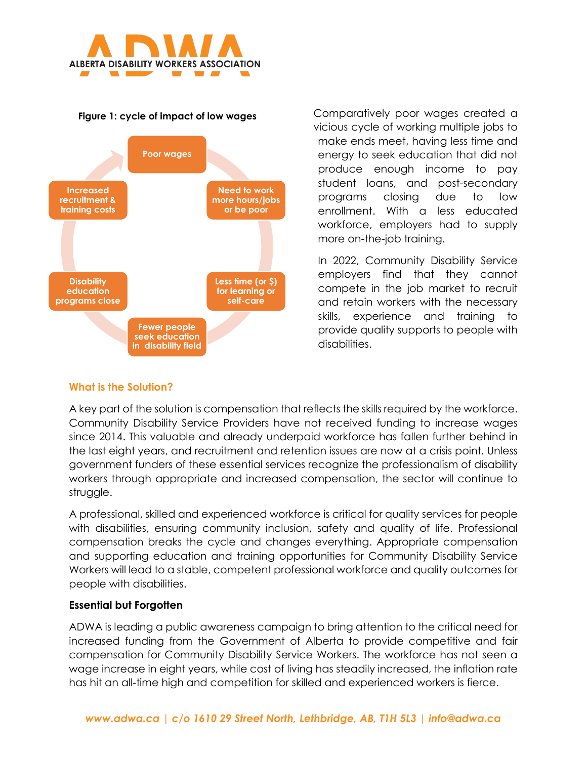

#### **Figure 1: cycle of impact of low wages**



Comparatively poor wages created a vicious cycle of working multiple jobs to make ends meet, having less time and energy to seek education that did not produce enough income to pay student loans, and post-secondary programs closing due to low enrollment. With a less educated workforce, employers had to supply more on-the-job training.

In 2022, Community Disability Service employers find that they cannot compete in the job market to recruit and retain workers with the necessary skills, experience and training to provide quality supports to people with disabilities.

## **What is the Solution?**

A key part of the solution is compensation that reflects the skills required by the workforce. Community Disability Service Providers have not received funding to increase wages since 2014. This valuable and already underpaid workforce has fallen further behind in the last eight years, and recruitment and retention issues are now at a crisis point. Unless government funders of these essential services recognize the professionalism of disability workers through appropriate and increased compensation, the sector will continue to struggle.

A professional, skilled and experienced workforce is critical for quality services for people with disabilities, ensuring community inclusion, safety and quality of life. Professional compensation breaks the cycle and changes everything. Appropriate compensation and supporting education and training opportunities for Community Disability Service Workers will lead to a stable, competent professional workforce and quality outcomes for people with disabilities.

## **Essential but Forgotten**

ADWA is leading a public awareness campaign to bring attention to the critical need for increased funding from the Government of Alberta to provide competitive and fair compensation for Community Disability Service Workers. The workforce has not seen a wage increase in eight years, while cost of living has steadily increased, the inflation rate has hit an all-time high and competition for skilled and experienced workers is fierce.